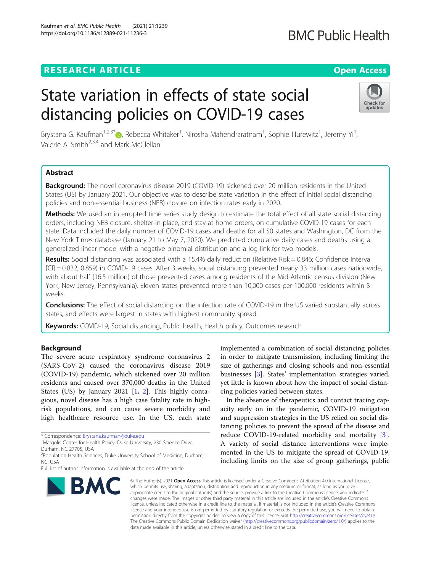# **RESEARCH ARTICLE Example 2014 12:30 The Contract of Contract ACCESS**

# State variation in effects of state social distancing policies on COVID-19 cases

Brystana G. Kaufman<sup>1,2,3[\\*](http://orcid.org/0000-0001-6553-0406)</sup>®, Rebecca Whitaker<sup>1</sup>, Nirosha Mahendraratnam<sup>1</sup>, Sophie Hurewitz<sup>1</sup>, Jeremy Yi<sup>1</sup> , Valerie A. Smith<sup>2,3,4</sup> and Mark McClellan<sup>1</sup>

# Abstract

Background: The novel coronavirus disease 2019 (COVID-19) sickened over 20 million residents in the United States (US) by January 2021. Our objective was to describe state variation in the effect of initial social distancing policies and non-essential business (NEB) closure on infection rates early in 2020.

Methods: We used an interrupted time series study design to estimate the total effect of all state social distancing orders, including NEB closure, shelter-in-place, and stay-at-home orders, on cumulative COVID-19 cases for each state. Data included the daily number of COVID-19 cases and deaths for all 50 states and Washington, DC from the New York Times database (January 21 to May 7, 2020). We predicted cumulative daily cases and deaths using a generalized linear model with a negative binomial distribution and a log link for two models.

Results: Social distancing was associated with a 15.4% daily reduction (Relative Risk = 0.846; Confidence Interval [CI] = 0.832, 0.859) in COVID-19 cases. After 3 weeks, social distancing prevented nearly 33 million cases nationwide, with about half (16.5 million) of those prevented cases among residents of the Mid-Atlantic census division (New York, New Jersey, Pennsylvania). Eleven states prevented more than 10,000 cases per 100,000 residents within 3 weeks.

**Conclusions:** The effect of social distancing on the infection rate of COVID-19 in the US varied substantially across states, and effects were largest in states with highest community spread.

Keywords: COVID-19, Social distancing, Public health, Health policy, Outcomes research

# Background

The severe acute respiratory syndrome coronavirus 2 (SARS-CoV-2) caused the coronavirus disease 2019 (COVID-19) pandemic, which sickened over 20 million residents and caused over 370,000 deaths in the United States (US) by January 2021 [\[1](#page-5-0), [2](#page-5-0)]. This highly contagious, novel disease has a high case fatality rate in highrisk populations, and can cause severe morbidity and high healthcare resource use. In the US, each state

**BMC** 

and suppression strategies in the US relied on social distancing policies to prevent the spread of the disease and reduce COVID-19-related morbidity and mortality [\[3](#page-5-0)].

A variety of social distance interventions were implemented in the US to mitigate the spread of COVID-19, including limits on the size of group gatherings, public

implemented a combination of social distancing policies in order to mitigate transmission, including limiting the size of gatherings and closing schools and non-essential businesses [[3\]](#page-5-0). States' implementation strategies varied, yet little is known about how the impact of social distan-

In the absence of therapeutics and contact tracing capacity early on in the pandemic, COVID-19 mitigation

© The Author(s), 2021 **Open Access** This article is licensed under a Creative Commons Attribution 4.0 International License, which permits use, sharing, adaptation, distribution and reproduction in any medium or format, as long as you give appropriate credit to the original author(s) and the source, provide a link to the Creative Commons licence, and indicate if changes were made. The images or other third party material in this article are included in the article's Creative Commons licence, unless indicated otherwise in a credit line to the material. If material is not included in the article's Creative Commons licence and your intended use is not permitted by statutory regulation or exceeds the permitted use, you will need to obtain permission directly from the copyright holder. To view a copy of this licence, visit [http://creativecommons.org/licenses/by/4.0/.](http://creativecommons.org/licenses/by/4.0/) The Creative Commons Public Domain Dedication waiver [\(http://creativecommons.org/publicdomain/zero/1.0/](http://creativecommons.org/publicdomain/zero/1.0/)) applies to the data made available in this article, unless otherwise stated in a credit line to the data.

cing policies varied between states.





<sup>\*</sup> Correspondence: [Brystana.kaufman@duke.edu](mailto:Brystana.kaufman@duke.edu) <sup>1</sup>

<sup>&</sup>lt;sup>1</sup>Margolis Center for Health Policy, Duke University, 230 Science Drive, Durham, NC 27705, USA

<sup>&</sup>lt;sup>2</sup> Population Health Sciences, Duke University School of Medicine, Durham, NC, USA

Full list of author information is available at the end of the article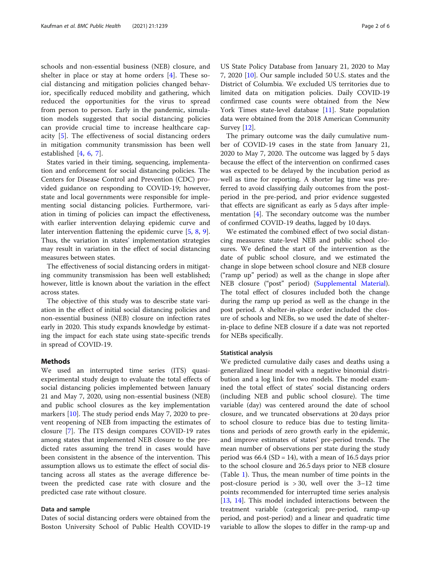schools and non-essential business (NEB) closure, and shelter in place or stay at home orders [[4](#page-5-0)]. These social distancing and mitigation policies changed behavior, specifically reduced mobility and gathering, which reduced the opportunities for the virus to spread from person to person. Early in the pandemic, simulation models suggested that social distancing policies can provide crucial time to increase healthcare capacity [[5\]](#page-5-0). The effectiveness of social distancing orders in mitigation community transmission has been well established [[4,](#page-5-0) [6,](#page-5-0) [7\]](#page-5-0).

States varied in their timing, sequencing, implementation and enforcement for social distancing policies. The Centers for Disease Control and Prevention (CDC) provided guidance on responding to COVID-19; however, state and local governments were responsible for implementing social distancing policies. Furthermore, variation in timing of policies can impact the effectiveness, with earlier intervention delaying epidemic curve and later intervention flattening the epidemic curve [\[5](#page-5-0), [8,](#page-5-0) [9](#page-5-0)]. Thus, the variation in states' implementation strategies may result in variation in the effect of social distancing measures between states.

The effectiveness of social distancing orders in mitigating community transmission has been well established; however, little is known about the variation in the effect across states.

The objective of this study was to describe state variation in the effect of initial social distancing policies and non-essential business (NEB) closure on infection rates early in 2020. This study expands knowledge by estimating the impact for each state using state-specific trends in spread of COVID-19.

# Methods

We used an interrupted time series (ITS) quasiexperimental study design to evaluate the total effects of social distancing policies implemented between January 21 and May 7, 2020, using non-essential business (NEB) and public school closures as the key implementation markers [[10\]](#page-5-0). The study period ends May 7, 2020 to prevent reopening of NEB from impacting the estimates of closure [\[7](#page-5-0)]. The ITS design compares COVID-19 rates among states that implemented NEB closure to the predicted rates assuming the trend in cases would have been consistent in the absence of the intervention. This assumption allows us to estimate the effect of social distancing across all states as the average difference between the predicted case rate with closure and the predicted case rate without closure.

# Data and sample

Dates of social distancing orders were obtained from the Boston University School of Public Health COVID-19 US State Policy Database from January 21, 2020 to May 7, 2020 [\[10\]](#page-5-0). Our sample included 50 U.S. states and the District of Columbia. We excluded US territories due to limited data on mitigation policies. Daily COVID-19 confirmed case counts were obtained from the New York Times state-level database [\[11\]](#page-5-0). State population data were obtained from the 2018 American Community Survey [\[12\]](#page-5-0).

The primary outcome was the daily cumulative number of COVID-19 cases in the state from January 21, 2020 to May 7, 2020. The outcome was lagged by 5 days because the effect of the intervention on confirmed cases was expected to be delayed by the incubation period as well as time for reporting. A shorter lag time was preferred to avoid classifying daily outcomes from the postperiod in the pre-period, and prior evidence suggested that effects are significant as early as 5 days after implementation [\[4](#page-5-0)]. The secondary outcome was the number of confirmed COVID-19 deaths, lagged by 10 days.

We estimated the combined effect of two social distancing measures: state-level NEB and public school closures. We defined the start of the intervention as the date of public school closure, and we estimated the change in slope between school closure and NEB closure ("ramp up" period) as well as the change in slope after NEB closure ("post" period) [\(Supplemental Material](#page-4-0)). The total effect of closures included both the change during the ramp up period as well as the change in the post period. A shelter-in-place order included the closure of schools and NEBs, so we used the date of shelterin-place to define NEB closure if a date was not reported for NEBs specifically.

# Statistical analysis

We predicted cumulative daily cases and deaths using a generalized linear model with a negative binomial distribution and a log link for two models. The model examined the total effect of states' social distancing orders (including NEB and public school closure). The time variable (day) was centered around the date of school closure, and we truncated observations at 20 days prior to school closure to reduce bias due to testing limitations and periods of zero growth early in the epidemic, and improve estimates of states' pre-period trends. The mean number of observations per state during the study period was  $66.4$  (SD = 14), with a mean of 16.5 days prior to the school closure and 26.5 days prior to NEB closure (Table [1](#page-2-0)). Thus, the mean number of time points in the post-closure period is > 30, well over the 3–12 time points recommended for interrupted time series analysis [[13,](#page-5-0) [14\]](#page-5-0). This model included interactions between the treatment variable (categorical; pre-period, ramp-up period, and post-period) and a linear and quadratic time variable to allow the slopes to differ in the ramp-up and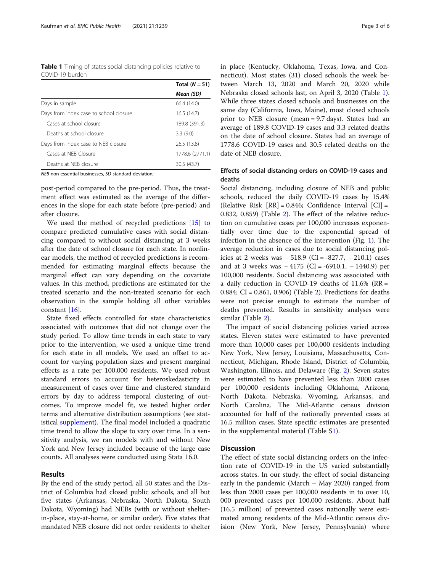<span id="page-2-0"></span>Table 1 Timing of states social distancing policies relative to COVID-19 burden

|                                        | Total $(N = 51)$ |  |
|----------------------------------------|------------------|--|
|                                        | Mean (SD)        |  |
| Days in sample                         | 66.4 (14.0)      |  |
| Days from index case to school closure | 16.5(14.7)       |  |
| Cases at school closure                | 189.8 (391.3)    |  |
| Deaths at school closure               | 3.3(9.0)         |  |
| Days from index case to NEB closure    | 26.5 (13.8)      |  |
| Cases at NFB Closure                   | 1778.6 (2771.1)  |  |
| Deaths at NEB closure                  | 30.5(43.7)       |  |

NEB non-essential businesses, SD standard deviation;

post-period compared to the pre-period. Thus, the treatment effect was estimated as the average of the differences in the slope for each state before (pre-period) and after closure.

We used the method of recycled predictions [[15](#page-5-0)] to compare predicted cumulative cases with social distancing compared to without social distancing at 3 weeks after the date of school closure for each state. In nonlinear models, the method of recycled predictions is recommended for estimating marginal effects because the marginal effect can vary depending on the covariate values. In this method, predictions are estimated for the treated scenario and the non-treated scenario for each observation in the sample holding all other variables constant [[16](#page-5-0)].

State fixed effects controlled for state characteristics associated with outcomes that did not change over the study period. To allow time trends in each state to vary prior to the intervention, we used a unique time trend for each state in all models. We used an offset to account for varying population sizes and present marginal effects as a rate per 100,000 residents. We used robust standard errors to account for heteroskedasticity in measurement of cases over time and clustered standard errors by day to address temporal clustering of outcomes. To improve model fit, we tested higher order terms and alternative distribution assumptions (see statistical [supplement\)](#page-4-0). The final model included a quadratic time trend to allow the slope to vary over time. In a sensitivity analysis, we ran models with and without New York and New Jersey included because of the large case counts. All analyses were conducted using Stata 16.0.

# Results

By the end of the study period, all 50 states and the District of Columbia had closed public schools, and all but five states (Arkansas, Nebraska, North Dakota, South Dakota, Wyoming) had NEBs (with or without shelterin-place, stay-at-home, or similar order). Five states that mandated NEB closure did not order residents to shelter in place (Kentucky, Oklahoma, Texas, Iowa, and Connecticut). Most states (31) closed schools the week between March 13, 2020 and March 20, 2020 while Nebraska closed schools last, on April 3, 2020 (Table 1). While three states closed schools and businesses on the same day (California, Iowa, Maine), most closed schools prior to NEB closure (mean = 9.7 days). States had an average of 189.8 COVID-19 cases and 3.3 related deaths on the date of school closure. States had an average of 1778.6 COVID-19 cases and 30.5 related deaths on the date of NEB closure.

# Effects of social distancing orders on COVID-19 cases and deaths

Social distancing, including closure of NEB and public schools, reduced the daily COVID-19 cases by 15.4% (Relative Risk  $[RR] = 0.846$ ; Confidence Interval  $[CI] =$ 0.832, 0.859) (Table [2\)](#page-3-0). The effect of the relative reduction on cumulative cases per 100,000 increases exponentially over time due to the exponential spread of infection in the absence of the intervention (Fig. [1\)](#page-3-0). The average reduction in cases due to social distancing policies at 2 weeks was − 518.9 (CI = -827.7, − 210.1) cases and at 3 weeks was − 4175 (CI = -6910.1, − 1440.9) per 100,000 residents. Social distancing was associated with a daily reduction in COVID-19 deaths of 11.6% (RR = 0.884; CI = 0.861, 0.906) (Table [2](#page-3-0)). Predictions for deaths were not precise enough to estimate the number of deaths prevented. Results in sensitivity analyses were similar (Table [2](#page-3-0)).

The impact of social distancing policies varied across states. Eleven states were estimated to have prevented more than 10,000 cases per 100,000 residents including New York, New Jersey, Louisiana, Massachusetts, Connecticut, Michigan, Rhode Island, District of Columbia, Washington, Illinois, and Delaware (Fig. [2\)](#page-4-0). Seven states were estimated to have prevented less than 2000 cases per 100,000 residents including Oklahoma, Arizona, North Dakota, Nebraska, Wyoming, Arkansas, and North Carolina. The Mid-Atlantic census division accounted for half of the nationally prevented cases at 16.5 million cases. State specific estimates are presented in the supplemental material (Table [S1](#page-4-0)).

# **Discussion**

The effect of state social distancing orders on the infection rate of COVID-19 in the US varied substantially across states. In our study, the effect of social distancing early in the pandemic (March – May 2020) ranged from less than 2000 cases per 100,000 residents in to over 10, 000 prevented cases per 100,000 residents. About half (16.5 million) of prevented cases nationally were estimated among residents of the Mid-Atlantic census division (New York, New Jersey, Pennsylvania) where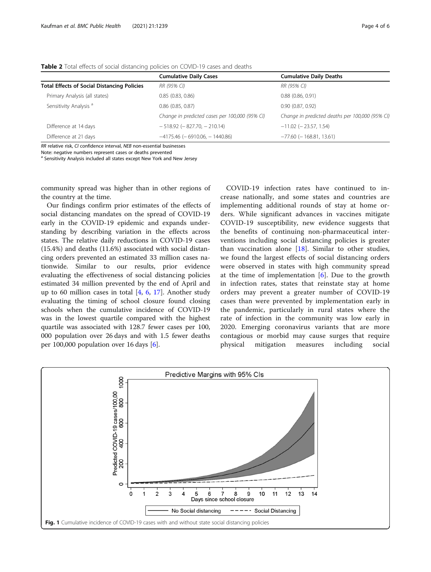|                                                    | <b>Cumulative Daily Cases</b>                  | <b>Cumulative Daily Deaths</b>                  |
|----------------------------------------------------|------------------------------------------------|-------------------------------------------------|
| <b>Total Effects of Social Distancing Policies</b> | RR (95% CI)                                    | RR (95% CI)                                     |
| Primary Analysis (all states)                      | 0.85(0.83, 0.86)                               | $0.88$ $(0.86, 0.91)$                           |
| Sensitivity Analysis <sup>a</sup>                  | $0.86$ $(0.85, 0.87)$                          | 0.90(0.87, 0.92)                                |
|                                                    | Change in predicted cases per 100,000 (95% CI) | Change in predicted deaths per 100,000 (95% CI) |
| Difference at 14 days                              | $-518.92$ ( $-827.70$ , $-210.14$ )            | $-11.02$ ( $-23.57$ , 1.54)                     |
| Difference at 21 days                              | $-4175.46$ ( $-6910.06$ , $-1440.86$ )         | $-77.60$ ( $-168.81, 13.61$ )                   |

<span id="page-3-0"></span>Table 2 Total effects of social distancing policies on COVID-19 cases and deaths

RR relative risk, CI confidence interval, NEB non-essential businesses

Note: negative numbers represent cases or deaths prevented

<sup>a</sup> Sensitivity Analysis included all states except New York and New Jersey

community spread was higher than in other regions of the country at the time.

Our findings confirm prior estimates of the effects of social distancing mandates on the spread of COVID-19 early in the COVID-19 epidemic and expands understanding by describing variation in the effects across states. The relative daily reductions in COVID-19 cases (15.4%) and deaths (11.6%) associated with social distancing orders prevented an estimated 33 million cases nationwide. Similar to our results, prior evidence evaluating the effectiveness of social distancing policies estimated 34 million prevented by the end of April and up to [6](#page-5-0)0 million cases in total  $[4, 6, 17]$  $[4, 6, 17]$  $[4, 6, 17]$  $[4, 6, 17]$ . Another study evaluating the timing of school closure found closing schools when the cumulative incidence of COVID-19 was in the lowest quartile compared with the highest quartile was associated with 128.7 fewer cases per 100, 000 population over 26 days and with 1.5 fewer deaths per 100,000 population over 16 days [[6\]](#page-5-0).

COVID-19 infection rates have continued to increase nationally, and some states and countries are implementing additional rounds of stay at home orders. While significant advances in vaccines mitigate COVID-19 susceptibility, new evidence suggests that the benefits of continuing non-pharmaceutical interventions including social distancing policies is greater than vaccination alone  $[18]$  $[18]$ . Similar to other studies, we found the largest effects of social distancing orders were observed in states with high community spread at the time of implementation  $[6]$  $[6]$ . Due to the growth in infection rates, states that reinstate stay at home orders may prevent a greater number of COVID-19 cases than were prevented by implementation early in the pandemic, particularly in rural states where the rate of infection in the community was low early in 2020. Emerging coronavirus variants that are more contagious or morbid may cause surges that require physical mitigation measures including social

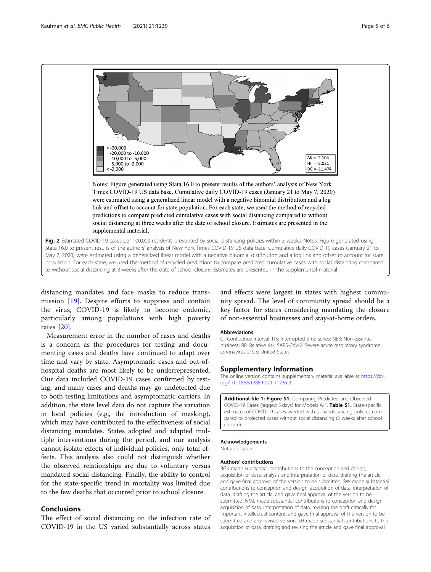<span id="page-4-0"></span>

distancing mandates and face masks to reduce transmission [[19\]](#page-5-0). Despite efforts to suppress and contain the virus, COVID-19 is likely to become endemic, particularly among populations with high poverty rates [[20\]](#page-5-0).

Measurement error in the number of cases and deaths is a concern as the procedures for testing and documenting cases and deaths have continued to adapt over time and vary by state. Asymptomatic cases and out-ofhospital deaths are most likely to be underrepresented. Our data included COVID-19 cases confirmed by testing, and many cases and deaths may go undetected due to both testing limitations and asymptomatic carriers. In addition, the state level data do not capture the variation in local policies (e.g., the introduction of masking), which may have contributed to the effectiveness of social distancing mandates. States adopted and adapted multiple interventions during the period, and our analysis cannot isolate effects of individual policies, only total effects. This analysis also could not distinguish whether the observed relationships are due to voluntary versus mandated social distancing. Finally, the ability to control for the state-specific trend in mortality was limited due to the few deaths that occurred prior to school closure.

# Conclusions

The effect of social distancing on the infection rate of COVID-19 in the US varied substantially across states

and effects were largest in states with highest community spread. The level of community spread should be a key factor for states considering mandating the closure of non-essential businesses and stay-at-home orders.

#### Abbreviations

CI: Confidence interval; ITS: Interrupted time series; NEB: Non-essential business; RR: Relative risk; SARS-CoV-2: Severe acute respiratory syndrome coronavirus 2; US: United States

#### Supplementary Information

The online version contains supplementary material available at [https://doi.](https://doi.org/10.1186/s12889-021-11236-3) [org/10.1186/s12889-021-11236-3.](https://doi.org/10.1186/s12889-021-11236-3)

Additional file 1: Figure S1. Comparing Predicted and Observed COVID-19 Cases (lagged 5 days) for Models A-F. Table S1. State-specific estimates of COVID-19 cases averted with social distancing policies compared to projected cases without social distancing (3 weeks after school closure).

#### Acknowledgements Not applicable.

# Authors' contributions

BGK made substantial contributions to the conception and design, acquisition of data, analysis and interpretation of data, drafting the article, and gave final approval of the version to be submitted. RW made substantial contributions to conception and design, acquisition of data, interpretation of data, drafting the article, and gave final approval of the version to be submitted. NML made substantial contributions to conception and design, acquisition of data, interpretation of data, revising the draft critically for important intellectual content, and gave final approval of the version to be submitted and any revised version. SH made substantial contributions to the acquisition of data, drafting and revising the article and gave final approval